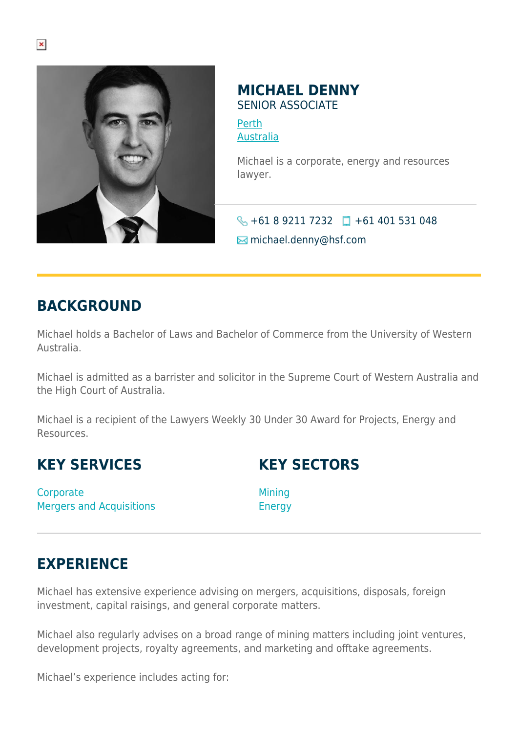

## **MICHAEL DENNY** SENIOR ASSOCIATE

[Perth](https://www.herbertsmithfreehills.com/where-we-work/perth) [Australia](https://www.herbertsmithfreehills.com/where-we-work/australia)

Michael is a corporate, energy and resources lawyer.

 $\bigotimes$  +61 8 9211 7232 +61 401 531 048  $\boxtimes$  michael.denny@hsf.com

## **BACKGROUND**

Michael holds a Bachelor of Laws and Bachelor of Commerce from the University of Western Australia.

Michael is admitted as a barrister and solicitor in the Supreme Court of Western Australia and the High Court of Australia.

Michael is a recipient of the Lawyers Weekly 30 Under 30 Award for Projects, Energy and Resources.

## **KEY SERVICES**

**KEY SECTORS**

**Corporate** Mergers and Acquisitions Mining Energy

## **EXPERIENCE**

Michael has extensive experience advising on mergers, acquisitions, disposals, foreign investment, capital raisings, and general corporate matters.

Michael also regularly advises on a broad range of mining matters including joint ventures, development projects, royalty agreements, and marketing and offtake agreements.

Michael's experience includes acting for: